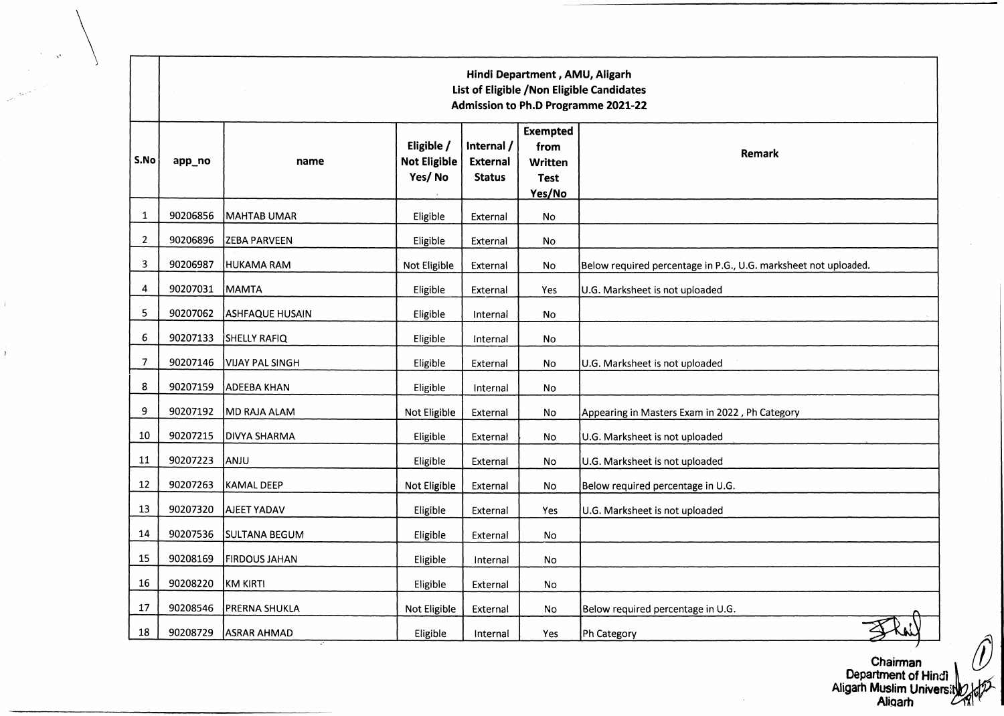|                | Hindi Department, AMU, Aligarh<br>List of Eligible / Non Eligible Candidates<br>Admission to Ph.D Programme 2021-22 |                        |                                      |                                                |                                                                    |                                                                 |  |  |  |
|----------------|---------------------------------------------------------------------------------------------------------------------|------------------------|--------------------------------------|------------------------------------------------|--------------------------------------------------------------------|-----------------------------------------------------------------|--|--|--|
| S.No           | app_no                                                                                                              | name                   | Eligible /<br>Not Eligible<br>Yes/No | Internal /<br><b>External</b><br><b>Status</b> | <b>Exempted</b><br>from<br><b>Written</b><br><b>Test</b><br>Yes/No | Remark                                                          |  |  |  |
| 1              | 90206856                                                                                                            | MAHTAB UMAR            | Eligible                             | External                                       | No                                                                 |                                                                 |  |  |  |
| $\overline{2}$ | 90206896                                                                                                            | <b>ZEBA PARVEEN</b>    | Eligible                             | External                                       | No                                                                 |                                                                 |  |  |  |
| 3              | 90206987                                                                                                            | HUKAMA RAM             | Not Eligible                         | External                                       | No                                                                 | Below required percentage in P.G., U.G. marksheet not uploaded. |  |  |  |
| 4              | 90207031                                                                                                            | MAMTA                  | Eligible                             | External                                       | Yes                                                                | U.G. Marksheet is not uploaded                                  |  |  |  |
| 5              | 90207062                                                                                                            | <b>ASHFAQUE HUSAIN</b> | Eligible                             | Internal                                       | No                                                                 |                                                                 |  |  |  |
| 6              | 90207133                                                                                                            | SHELLY RAFIQ           | Eligible                             | Internal                                       | No                                                                 |                                                                 |  |  |  |
| $\overline{7}$ | 90207146                                                                                                            | IVIJAY PAL SINGH       | Eligible                             | External                                       | No.                                                                | U.G. Marksheet is not uploaded                                  |  |  |  |
| 8              | 90207159                                                                                                            | ADEEBA KHAN            | Eligible                             | Internal                                       | No                                                                 |                                                                 |  |  |  |
| 9              | 90207192                                                                                                            | MD RAJA ALAM           | Not Eligible                         | External                                       | No                                                                 | Appearing in Masters Exam in 2022, Ph Category                  |  |  |  |
| 10             | 90207215                                                                                                            | <b>DIVYA SHARMA</b>    | Eligible                             | External                                       | No                                                                 | U.G. Marksheet is not uploaded                                  |  |  |  |
| 11             | 90207223                                                                                                            | ANJU                   | Eligible                             | External                                       | No                                                                 | U.G. Marksheet is not uploaded                                  |  |  |  |
| 12             | 90207263                                                                                                            | KAMAL DEEP             | Not Eligible                         | External                                       | No                                                                 | Below required percentage in U.G.                               |  |  |  |
| 13             | 90207320                                                                                                            | AJEET YADAV            | Eligible                             | External                                       | Yes                                                                | U.G. Marksheet is not uploaded                                  |  |  |  |
| 14             | 90207536                                                                                                            | <b>SULTANA BEGUM</b>   | Eligible                             | External                                       | <b>No</b>                                                          |                                                                 |  |  |  |
| 15             | 90208169                                                                                                            | <b>FIRDOUS JAHAN</b>   | Eligible                             | Internal                                       | No                                                                 |                                                                 |  |  |  |
| 16             | 90208220                                                                                                            | KM KIRTI               | Eligible                             | External                                       | No.                                                                |                                                                 |  |  |  |
| 17             | 90208546                                                                                                            | PRERNA SHUKLA          | Not Eligible                         | External                                       | <b>No</b>                                                          | Below required percentage in U.G.                               |  |  |  |
| 18             | 90208729                                                                                                            | <b>ASRAR AHMAD</b>     | Eligible                             | Internal                                       | Yes                                                                | Ph Category                                                     |  |  |  |

J.

 $\bar{1}$ 

Chairman Department of Hindi Aligarh Muslim Univers Aliqarh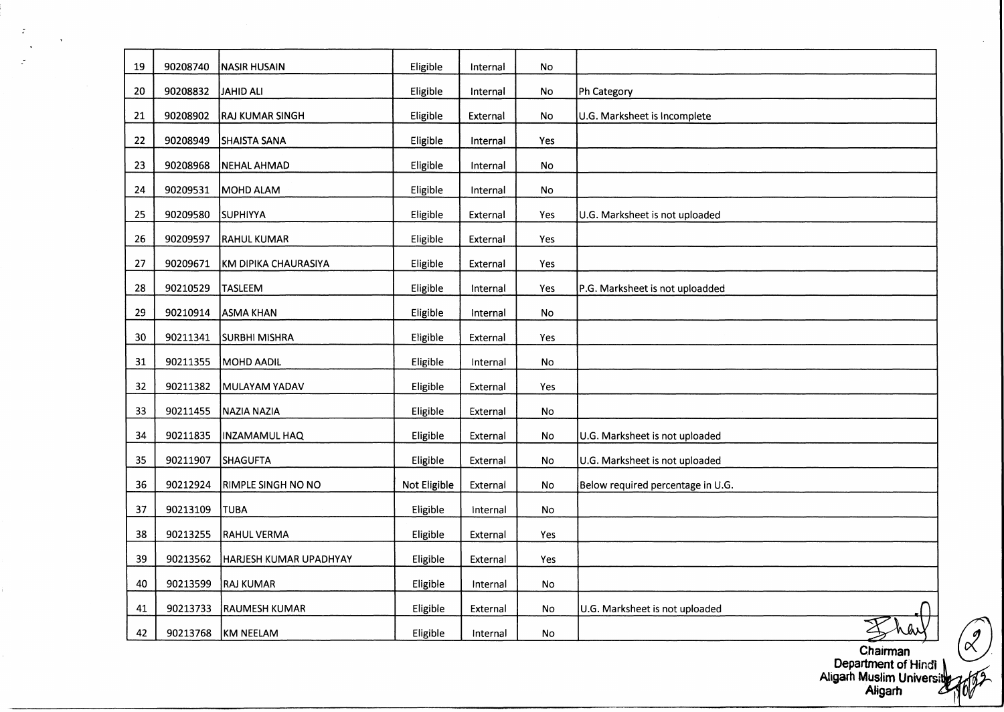| 19 | 90208740 | <b>NASIR HUSAIN</b>    | Eligible     | Internal | No        |                                   |
|----|----------|------------------------|--------------|----------|-----------|-----------------------------------|
| 20 | 90208832 | JAHID ALI              | Eligible     | Internal | No        | Ph Category                       |
| 21 | 90208902 | <b>RAJ KUMAR SINGH</b> | Eligible     | External | No        | U.G. Marksheet is Incomplete      |
| 22 | 90208949 | <b>SHAISTA SANA</b>    | Eligible     | Internal | Yes       |                                   |
| 23 | 90208968 | NEHAL AHMAD            | Eligible     | Internal | No        |                                   |
| 24 | 90209531 | MOHD ALAM              | Eligible     | Internal | <b>No</b> |                                   |
| 25 | 90209580 | <b>SUPHIYYA</b>        | Eligible     | External | Yes       | U.G. Marksheet is not uploaded    |
| 26 | 90209597 | RAHUL KUMAR            | Eligible     | External | Yes       |                                   |
| 27 | 90209671 | KM DIPIKA CHAURASIYA   | Eligible     | External | Yes       |                                   |
| 28 | 90210529 | <b>TASLEEM</b>         | Eligible     | Internal | Yes       | P.G. Marksheet is not uploadded   |
| 29 | 90210914 | ASMA KHAN              | Eligible     | Internal | No        |                                   |
| 30 | 90211341 | <b>SURBHI MISHRA</b>   | Eligible     | External | Yes       |                                   |
| 31 | 90211355 | MOHD AADIL             | Eligible     | Internal | No        |                                   |
| 32 | 90211382 | MULAYAM YADAV          | Eligible     | External | Yes       |                                   |
| 33 | 90211455 | NAZIA NAZIA            | Eligible     | External | No        |                                   |
| 34 | 90211835 | INZAMAMUL HAQ          | Eligible     | External | No        | U.G. Marksheet is not uploaded    |
| 35 | 90211907 | SHAGUFTA               | Eligible     | External | No        | U.G. Marksheet is not uploaded    |
| 36 | 90212924 | RIMPLE SINGH NO NO     | Not Eligible | External | No        | Below required percentage in U.G. |
| 37 | 90213109 | <b>TUBA</b>            | Eligible     | Internal | No        |                                   |
| 38 | 90213255 | RAHUL VERMA            | Eligible     | External | Yes       |                                   |
| 39 | 90213562 | HARJESH KUMAR UPADHYAY | Eligible     | External | Yes       |                                   |
| 40 | 90213599 | <b>RAJ KUMAR</b>       | Eligible     | Internal | No        |                                   |
| 41 | 90213733 | <b>RAUMESH KUMAR</b>   | Eligible     | External | No        | U.G. Marksheet is not uploaded    |
| 42 | 90213768 | KM NEELAM              | Eligible     | Internal | No        |                                   |

 $\langle z \rangle$ 

 $\mathbb{R}^2$ 

 $\begin{pmatrix} \mathcal{Q} \ \mathcal{X} \end{pmatrix}$ Chairman Department of Hindi Aligarh Muslim Universii Aligarh *£*

砭

 $\mathcal{L}$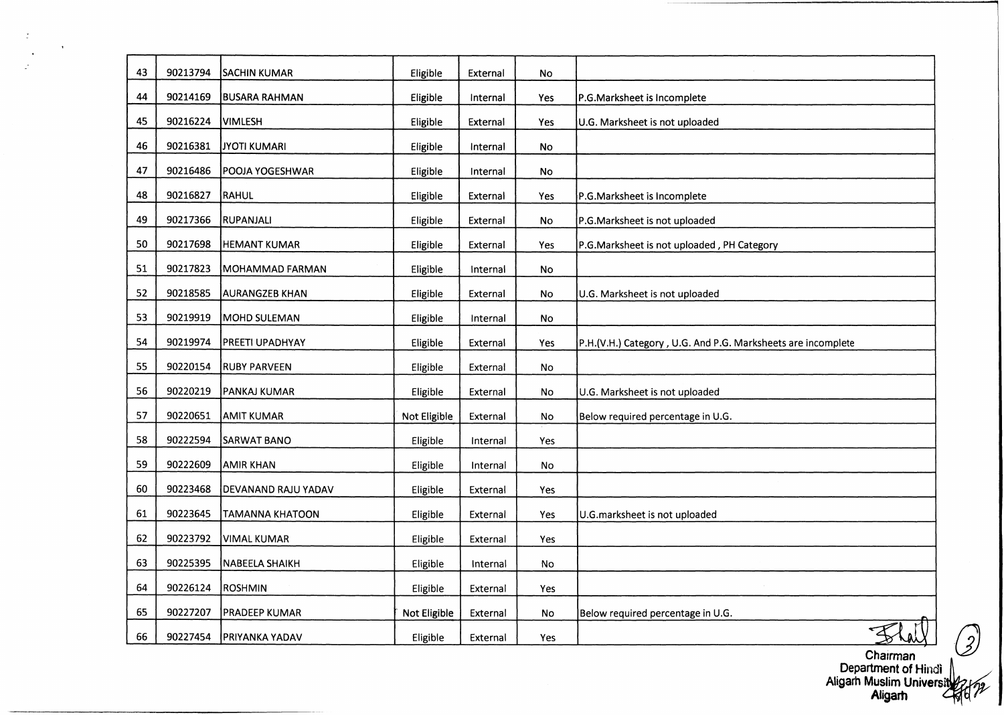| 43 | 90213794 | <b>SACHIN KUMAR</b>    | Eligible     | External | No        |                                                              |
|----|----------|------------------------|--------------|----------|-----------|--------------------------------------------------------------|
| 44 | 90214169 | <b>BUSARA RAHMAN</b>   | Eligible     | Internal | Yes       | P.G.Marksheet is Incomplete                                  |
| 45 | 90216224 | VIMLESH                | Eligible     | External | Yes       | U.G. Marksheet is not uploaded                               |
| 46 | 90216381 | JYOTI KUMARI           | Eligible     | Internal | No        |                                                              |
| 47 | 90216486 | POOJA YOGESHWAR        | Eligible     | Internal | <b>No</b> |                                                              |
| 48 | 90216827 | RAHUL                  | Eligible     | External | Yes       | P.G.Marksheet is Incomplete                                  |
| 49 | 90217366 | RUPANJALI              | Eligible     | External | No        | P.G.Marksheet is not uploaded                                |
| 50 | 90217698 | <b>HEMANT KUMAR</b>    | Eligible     | External | Yes       | P.G.Marksheet is not uploaded, PH Category                   |
| 51 | 90217823 | MOHAMMAD FARMAN        | Eligible     | Internal | No        |                                                              |
| 52 | 90218585 | AURANGZEB KHAN         | Eligible     | External | No        | U.G. Marksheet is not uploaded                               |
| 53 | 90219919 | MOHD SULEMAN           | Eligible     | Internal | No        |                                                              |
| 54 | 90219974 | PREETI UPADHYAY        | Eligible     | External | Yes       | P.H.(V.H.) Category, U.G. And P.G. Marksheets are incomplete |
| 55 | 90220154 | <b>RUBY PARVEEN</b>    | Eligible     | External | No        |                                                              |
| 56 | 90220219 | PANKAJ KUMAR           | Eligible     | External | No        | U.G. Marksheet is not uploaded                               |
| 57 | 90220651 | <b>AMIT KUMAR</b>      | Not Eligible | External | No        | Below required percentage in U.G.                            |
| 58 | 90222594 | SARWAT BANO            | Eligible     | Internal | Yes       |                                                              |
| 59 | 90222609 | <b>AMIR KHAN</b>       | Eligible     | Internal | No        |                                                              |
| 60 | 90223468 | DEVANAND RAJU YADAV    | Eligible     | External | Yes       |                                                              |
| 61 | 90223645 | <b>TAMANNA KHATOON</b> | Eligible     | External | Yes       | U.G.marksheet is not uploaded                                |
| 62 | 90223792 | <b>VIMAL KUMAR</b>     | Eligible     | External | Yes       |                                                              |
| 63 | 90225395 | NABEELA SHAIKH         | Eligible     | Internal | No        |                                                              |
| 64 | 90226124 | ROSHMIN                | Eligible     | External | Yes       |                                                              |
| 65 | 90227207 | <b>PRADEEP KUMAR</b>   | Not Eligible | External | No        | Below required percentage in U.G.                            |
| 66 | 90227454 | <b>PRIYANKA YADAV</b>  | Eligible     | External | Yes       |                                                              |
|    |          |                        |              |          |           | Chairman                                                     |

 $\sim$ 

 $\frac{1}{2}$ 

 $\Lambda$ 

2, Department of Hindi Aligarh Muslim Univers Aligarh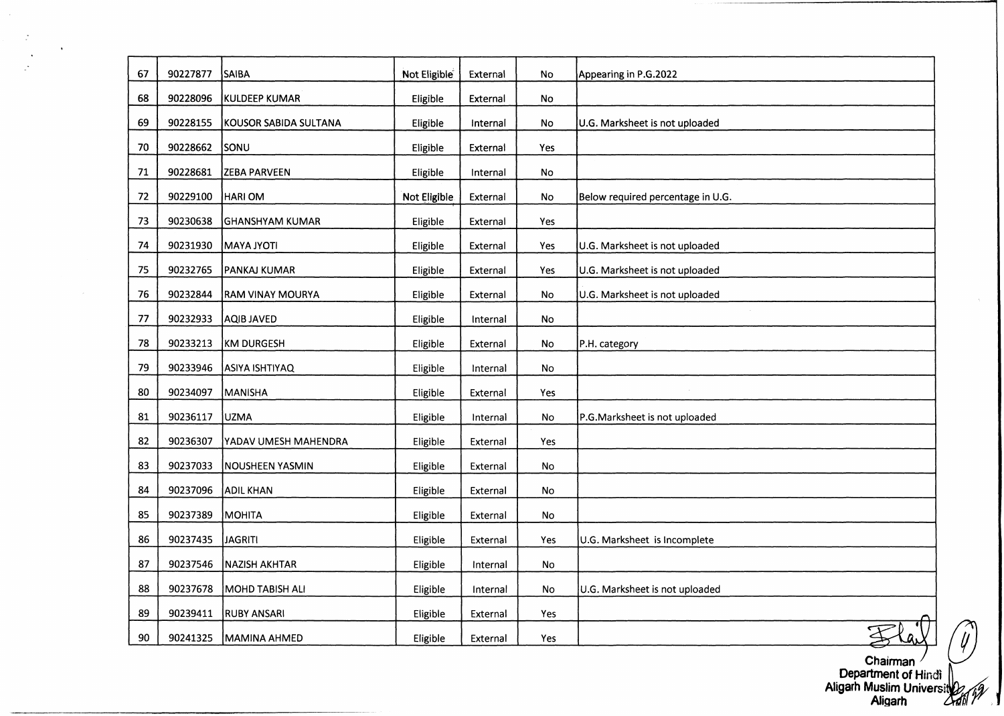| 67 | 90227877 | SAIBA                 | Not Eligible | External | No  | Appearing in P.G.2022             |
|----|----------|-----------------------|--------------|----------|-----|-----------------------------------|
| 68 | 90228096 | KULDEEP KUMAR         | Eligible     | External | No  |                                   |
| 69 | 90228155 | KOUSOR SABIDA SULTANA | Eligible     | Internal | No  | U.G. Marksheet is not uploaded    |
| 70 | 90228662 | <b>SONU</b>           | Eligible     | External | Yes |                                   |
| 71 | 90228681 | <b>ZEBA PARVEEN</b>   | Eligible     | Internal | No  |                                   |
| 72 | 90229100 | HARI OM               | Not Eligible | External | No  | Below required percentage in U.G. |
| 73 | 90230638 | GHANSHYAM KUMAR       | Eligible     | External | Yes |                                   |
| 74 | 90231930 | <b>MAYA JYOTI</b>     | Eligible     | External | Yes | U.G. Marksheet is not uploaded    |
| 75 | 90232765 | PANKAJ KUMAR          | Eligible     | External | Yes | U.G. Marksheet is not uploaded    |
| 76 | 90232844 | RAM VINAY MOURYA      | Eligible     | External | No  | U.G. Marksheet is not uploaded    |
| 77 | 90232933 | AQIB JAVED            | Eligible     | Internal | No  |                                   |
| 78 | 90233213 | KM DURGESH            | Eligible     | External | No  | P.H. category                     |
| 79 | 90233946 | ASIYA ISHTIYAQ        | Eligible     | Internal | No  |                                   |
| 80 | 90234097 | MANISHA               | Eligible     | External | Yes |                                   |
| 81 | 90236117 | UZMA                  | Eligible     | Internal | No  | P.G.Marksheet is not uploaded     |
| 82 | 90236307 | YADAV UMESH MAHENDRA  | Eligible     | External | Yes |                                   |
| 83 | 90237033 | NOUSHEEN YASMIN       | Eligible     | External | No  |                                   |
| 84 | 90237096 | ADIL KHAN             | Eligible     | External | No  |                                   |
| 85 | 90237389 | MOHITA                | Eligible     | External | No  |                                   |
| 86 | 90237435 | <b>JAGRITI</b>        | Eligible     | External | Yes | U.G. Marksheet is Incomplete      |
| 87 | 90237546 | <b>NAZISH AKHTAR</b>  | Eligible     | Internal | No  |                                   |
| 88 | 90237678 | MOHD TABISH ALI       | Eligible     | Internal | No  | U.G. Marksheet is not uploaded    |
| 89 | 90239411 | <b>RUBY ANSARI</b>    | Eligible     | External | Yes |                                   |
| 90 | 90241325 | MAMINA AHMED          | Eligible     | External | Yes |                                   |

 $\sim$ 

 $\sim$   $\frac{1}{2}$ 

 $\ddot{\phantom{1}}$  $\mathbb{R}^2$   $\sim$ 

Chairman Department of Hindi Aligarh Muslim Universii Aligarh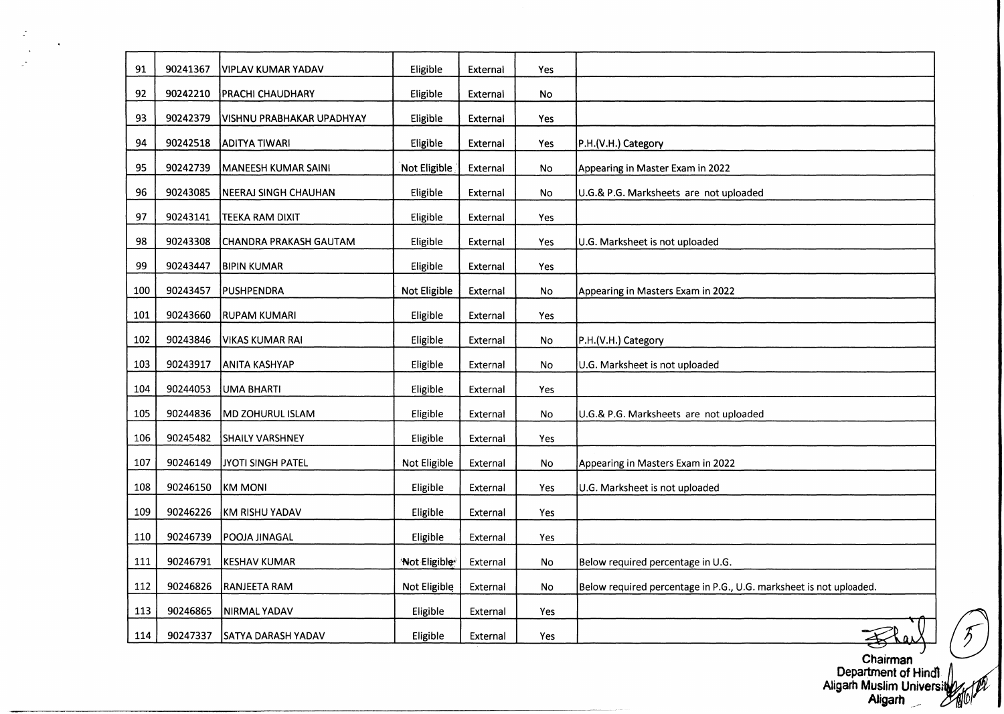| 91  | 90241367 | VIPLAV KUMAR YADAV        | Eligible     | External | Yes |                                                                    |
|-----|----------|---------------------------|--------------|----------|-----|--------------------------------------------------------------------|
| 92  | 90242210 | <b>PRACHI CHAUDHARY</b>   | Eligible     | External | No  |                                                                    |
| 93  | 90242379 | VISHNU PRABHAKAR UPADHYAY | Eligible     | External | Yes |                                                                    |
| 94  | 90242518 | <b>ADITYA TIWARI</b>      | Eligible     | External | Yes | P.H.(V.H.) Category                                                |
| 95  | 90242739 | MANEESH KUMAR SAINI       | Not Eligible | External | No  | Appearing in Master Exam in 2022                                   |
| 96  | 90243085 | NEERAJ SINGH CHAUHAN      | Eligible     | External | No  | U.G.& P.G. Marksheets are not uploaded                             |
| 97  | 90243141 | TEEKA RAM DIXIT           | Eligible     | External | Yes |                                                                    |
| 98  | 90243308 | CHANDRA PRAKASH GAUTAM    | Eligible     | External | Yes | U.G. Marksheet is not uploaded                                     |
| 99  | 90243447 | <b>BIPIN KUMAR</b>        | Eligible     | External | Yes |                                                                    |
| 100 | 90243457 | PUSHPENDRA                | Not Eligible | External | No  | Appearing in Masters Exam in 2022                                  |
| 101 | 90243660 | <b>RUPAM KUMARI</b>       | Eligible     | External | Yes |                                                                    |
| 102 | 90243846 | <b>VIKAS KUMAR RAI</b>    | Eligible     | External | No  | P.H.(V.H.) Category                                                |
| 103 | 90243917 | <b>ANITA KASHYAP</b>      | Eligible     | External | No  | U.G. Marksheet is not uploaded                                     |
| 104 | 90244053 | UMA BHARTI                | Eligible     | External | Yes |                                                                    |
| 105 | 90244836 | MD ZOHURUL ISLAM          | Eligible     | External | No  | U.G.& P.G. Marksheets are not uploaded                             |
| 106 | 90245482 | <b>SHAILY VARSHNEY</b>    | Eligible     | External | Yes |                                                                    |
| 107 | 90246149 | JYOTI SINGH PATEL         | Not Eligible | External | No  | Appearing in Masters Exam in 2022                                  |
| 108 | 90246150 | KM MONI                   | Eligible     | External | Yes | U.G. Marksheet is not uploaded                                     |
| 109 | 90246226 | KM RISHU YADAV            | Eligible     | External | Yes |                                                                    |
| 110 | 90246739 | POOJA JINAGAL             | Eligible     | External | Yes |                                                                    |
| 111 | 90246791 | <b>KESHAV KUMAR</b>       | Not Eligible | External | No  | Below required percentage in U.G.                                  |
| 112 | 90246826 | RANJEETA RAM              | Not Eligible | External | No  | Below required percentage in P.G., U.G. marksheet is not uploaded. |
| 113 | 90246865 | NIRMAL YADAV              | Eligible     | External | Yes |                                                                    |
| 114 | 90247337 | <b>SATYA DARASH YADAV</b> | Eligible     | External | Yes |                                                                    |

 $\mathbb{R}^2$ 

 $\mathcal{L}_{\mathbf{r}}$  $\mathbb{R}^2$ 

 $\bullet$ 

Chairman Department of Hindi rØ Aligarh Muslim Univers Aligarh

I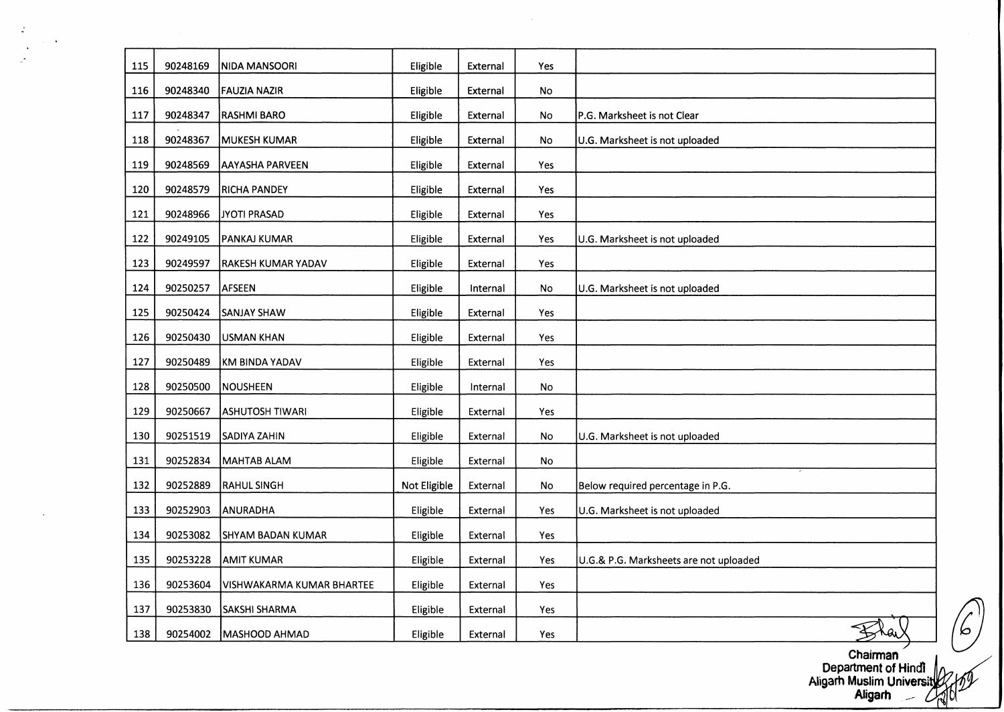| 115 | 90248169 | NIDA MANSOORI             | Eligible     | External | Yes |                                        |
|-----|----------|---------------------------|--------------|----------|-----|----------------------------------------|
| 116 | 90248340 | <b>FAUZIA NAZIR</b>       | Eligible     | External | No  |                                        |
| 117 | 90248347 | <b>RASHMI BARO</b>        | Eligible     | External | No  | P.G. Marksheet is not Clear            |
| 118 | 90248367 | <b>MUKESH KUMAR</b>       | Eligible     | External | No  | U.G. Marksheet is not uploaded         |
| 119 | 90248569 | <b>AAYASHA PARVEEN</b>    | Eligible     | External | Yes |                                        |
| 120 | 90248579 | <b>RICHA PANDEY</b>       | Eligible     | External | Yes |                                        |
| 121 | 90248966 | JYOTI PRASAD              | Eligible     | External | Yes |                                        |
| 122 | 90249105 | PANKAJ KUMAR              | Eligible     | External | Yes | U.G. Marksheet is not uploaded         |
| 123 | 90249597 | RAKESH KUMAR YADAV        | Eligible     | External | Yes |                                        |
| 124 | 90250257 | AFSEEN                    | Eligible     | Internal | No  | U.G. Marksheet is not uploaded         |
| 125 | 90250424 | <b>SANJAY SHAW</b>        | Eligible     | External | Yes |                                        |
| 126 | 90250430 | USMAN KHAN                | Eligible     | External | Yes |                                        |
| 127 | 90250489 | KM BINDA YADAV            | Eligible     | External | Yes |                                        |
| 128 | 90250500 | NOUSHEEN                  | Eligible     | Internal | No  |                                        |
| 129 | 90250667 | ASHUTOSH TIWARI           | Eligible     | External | Yes |                                        |
| 130 | 90251519 | <b>SADIYA ZAHIN</b>       | Eligible     | External | No  | U.G. Marksheet is not uploaded         |
| 131 | 90252834 | MAHTAB ALAM               | Eligible     | External | No  |                                        |
| 132 | 90252889 | <b>RAHUL SINGH</b>        | Not Eligible | External | No  | Below required percentage in P.G.      |
| 133 | 90252903 | ANURADHA                  | Eligible     | External | Yes | U.G. Marksheet is not uploaded         |
| 134 | 90253082 | <b>SHYAM BADAN KUMAR</b>  | Eligible     | External | Yes |                                        |
| 135 | 90253228 | <b>AMIT KUMAR</b>         | Eligible     | External | Yes | U.G.& P.G. Marksheets are not uploaded |
| 136 | 90253604 | VISHWAKARMA KUMAR BHARTEE | Eligible     | External | Yes |                                        |
| 137 | 90253830 | <b>SAKSHI SHARMA</b>      | Eligible     | External | Yes |                                        |
| 138 | 90254002 | MASHOOD AHMAD             | Eligible     | External | Yes |                                        |

 $\mathbb{Z}$ 

Chairman Department of Hindi Aligarh Muslim Universil Aligarh ^ *i* **I**

 $\sigma'$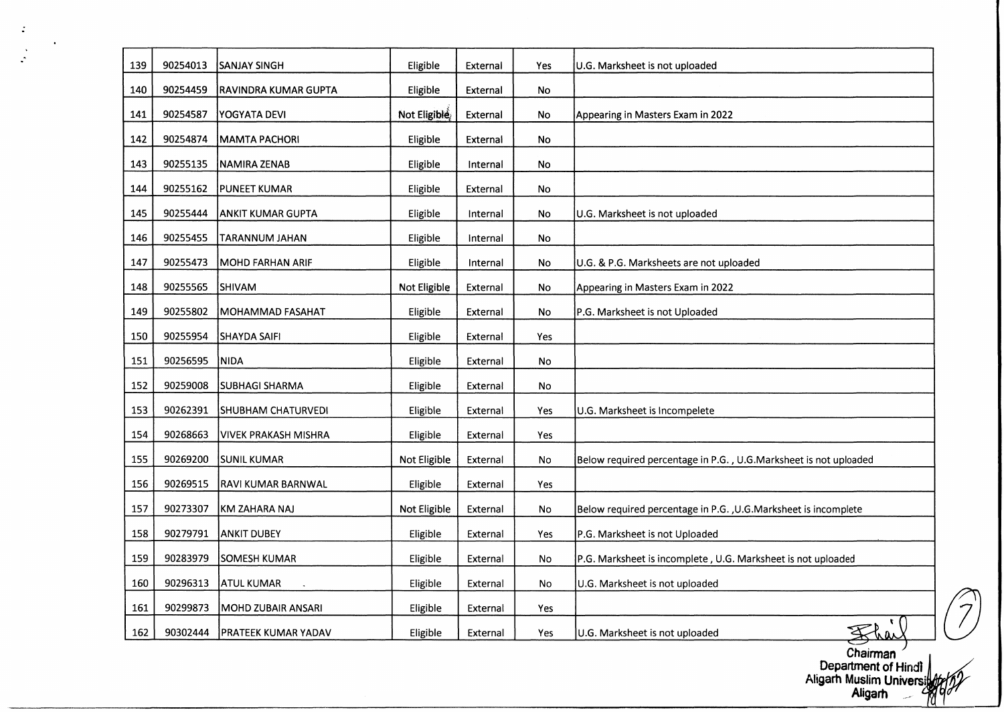| 139 | 90254013 | <b>SANJAY SINGH</b>       | Eligible     | External | Yes | U.G. Marksheet is not uploaded                                   |
|-----|----------|---------------------------|--------------|----------|-----|------------------------------------------------------------------|
| 140 | 90254459 | RAVINDRA KUMAR GUPTA      | Eligible     | External | No  |                                                                  |
| 141 | 90254587 | YOGYATA DEVI              | Not Eligible | External | No  | Appearing in Masters Exam in 2022                                |
| 142 | 90254874 | MAMTA PACHORI             | Eligible     | External | No  |                                                                  |
| 143 | 90255135 | NAMIRA ZENAB              | Eligible     | Internal | No  |                                                                  |
| 144 | 90255162 | PUNEET KUMAR              | Eligible     | External | No  |                                                                  |
| 145 | 90255444 | ANKIT KUMAR GUPTA         | Eligible     | Internal | No  | U.G. Marksheet is not uploaded                                   |
| 146 | 90255455 | TARANNUM JAHAN            | Eligible     | Internal | No  |                                                                  |
| 147 | 90255473 | MOHD FARHAN ARIF          | Eligible     | Internal | No  | U.G. & P.G. Marksheets are not uploaded                          |
| 148 | 90255565 | SHIVAM                    | Not Eligible | External | No  | Appearing in Masters Exam in 2022                                |
| 149 | 90255802 | MOHAMMAD FASAHAT          | Eligible     | External | No  | P.G. Marksheet is not Uploaded                                   |
| 150 | 90255954 | SHAYDA SAIFI              | Eligible     | External | Yes |                                                                  |
| 151 | 90256595 | NIDA)                     | Eligible     | External | No  |                                                                  |
| 152 | 90259008 | <b>SUBHAGI SHARMA</b>     | Eligible     | External | No  |                                                                  |
| 153 | 90262391 | SHUBHAM CHATURVEDI        | Eligible     | External | Yes | U.G. Marksheet is Incompelete                                    |
| 154 | 90268663 | VIVEK PRAKASH MISHRA      | Eligible     | External | Yes |                                                                  |
| 155 | 90269200 | <b>SUNIL KUMAR</b>        | Not Eligible | External | No  | Below required percentage in P.G., U.G.Marksheet is not uploaded |
| 156 | 90269515 | <b>RAVI KUMAR BARNWAL</b> | Eligible     | External | Yes |                                                                  |
| 157 | 90273307 | KM ZAHARA NAJ             | Not Eligible | External | No  | Below required percentage in P.G., U.G.Marksheet is incomplete   |
| 158 | 90279791 | <b>ANKIT DUBEY</b>        | Eligible     | External | Yes | P.G. Marksheet is not Uploaded                                   |
| 159 | 90283979 | <b>SOMESH KUMAR</b>       | Eligible     | External | No  | P.G. Marksheet is incomplete, U.G. Marksheet is not uploaded     |
| 160 | 90296313 | <b>ATUL KUMAR</b>         | Eligible     | External | No  | U.G. Marksheet is not uploaded                                   |
| 161 | 90299873 | MOHD ZUBAIR ANSARI        | Eligible     | External | Yes |                                                                  |
| 162 | 90302444 | PRATEEK KUMAR YADAV       | Eligible     | External | Yes | U.G. Marksheet is not uploaded                                   |

 $\langle \cdot \rangle$ 

 $\mathcal{A}$ 

Chairman Department of Hindi Aligarh Muslim Universij Aligarh ..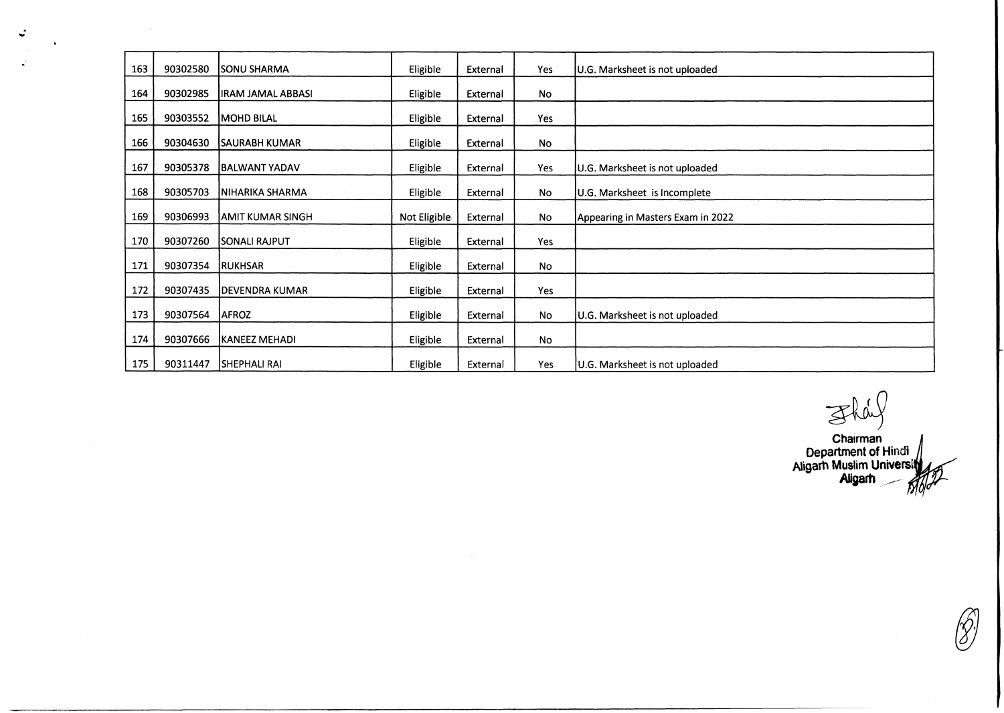| 163 | 90302580 | <b>ISONU SHARMA</b>    | Eligible     | External | <b>Yes</b> | U.G. Marksheet is not uploaded    |
|-----|----------|------------------------|--------------|----------|------------|-----------------------------------|
| 164 | 90302985 | lIRAM JAMAL ABBASI     | Eligible     | External | No         |                                   |
| 165 | 90303552 | MOHD BILAL             | Eligible     | External | Yes        |                                   |
| 166 | 90304630 | <b>SAURABH KUMAR</b>   | Eligible     | External | <b>No</b>  |                                   |
| 167 | 90305378 | BALWANT YADAV          | Eligible     | External | Yes        | U.G. Marksheet is not uploaded    |
| 168 | 90305703 | NIHARIKA SHARMA        | Eligible     | External | <b>No</b>  | U.G. Marksheet is Incomplete      |
| 169 | 90306993 | IAMIT KUMAR SINGH      | Not Eligible | External | <b>No</b>  | Appearing in Masters Exam in 2022 |
| 170 | 90307260 | <b>SONALI RAJPUT</b>   | Eligible     | External | <b>Yes</b> |                                   |
| 171 | 90307354 | <b>RUKHSAR</b>         | Eligible     | External | No         |                                   |
|     |          |                        |              |          |            |                                   |
| 172 | 90307435 | <b>IDEVENDRA KUMAR</b> | Eligible     | External | Yes        |                                   |
| 173 | 90307564 | <b>AFROZ</b>           | Eligible     | External | <b>No</b>  | U.G. Marksheet is not uploaded    |
| 174 | 90307666 | KANEEZ MEHADI          | Eligible     | External | <b>No</b>  |                                   |
| 175 | 90311447 | <b>SHEPHALI RAI</b>    | Eligible     | External | Yes        | U.G. Marksheet is not uploaded    |

 $\ddot{\phantom{a}}$ 

 $\mathbf{R}^2$ 

 $\ddot{\phantom{0}}$ 

Fhal

Chairman Department of Hindi Aligarh Muslim Universi Aligarh

(8)